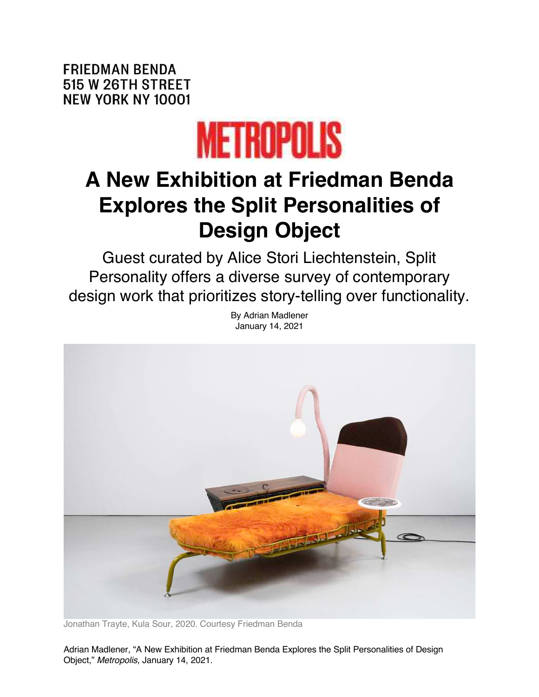**FRIEDMAN BENDA** 515 W 26TH STREET **NEW YORK NY 10001** 



## **A New Exhibition at Friedman Benda Explores the Split Personalities of Design Object**

Guest curated by Alice Stori Liechtenstein, Split Personality offers a diverse survey of contemporary design work that prioritizes story-telling over functionality.

By Adrian Madlener



Jonathan Trayte, Kula Sour, 2020. Courtesy Friedman Benda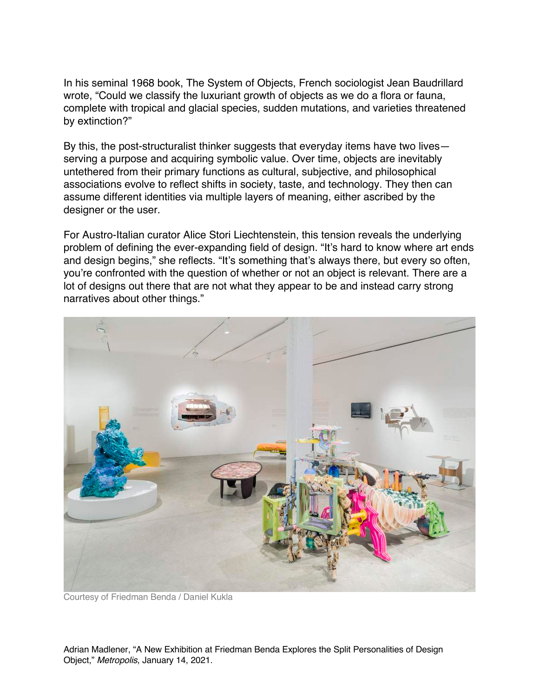In his seminal 1968 book, The System of Objects, French sociologist Jean Baudrillard wrote, "Could we classify the luxuriant growth of objects as we do a flora or fauna, complete with tropical and glacial species, sudden mutations, and varieties threatened by extinction?"

By this, the post-structuralist thinker suggests that everyday items have two lives serving a purpose and acquiring symbolic value. Over time, objects are inevitably untethered from their primary functions as cultural, subjective, and philosophical associations evolve to reflect shifts in society, taste, and technology. They then can assume different identities via multiple layers of meaning, either ascribed by the designer or the user.

For Austro-Italian curator Alice Stori Liechtenstein, this tension reveals the underlying problem of defining the ever-expanding field of design. "It's hard to know where art ends and design begins," she reflects. "It's something that's always there, but every so often, you're confronted with the question of whether or not an object is relevant. There are a lot of designs out there that are not what they appear to be and instead carry strong narratives about other things."



Courtesy of Friedman Benda / Daniel Kukla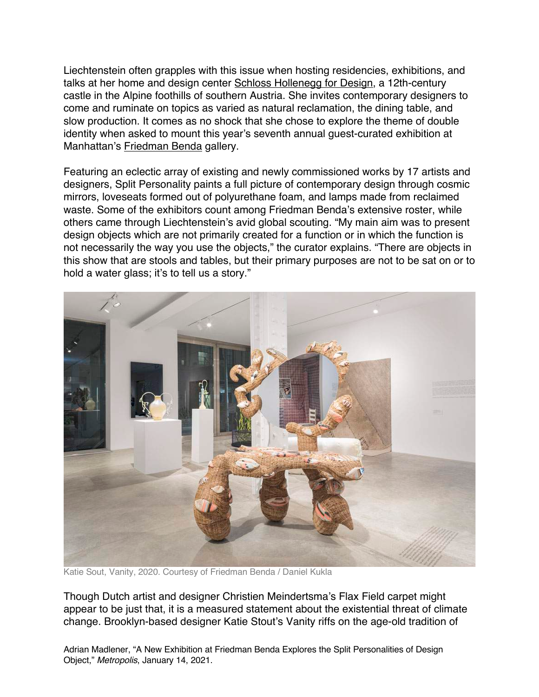Liechtenstein often grapples with this issue when hosting residencies, exhibitions, and talks at her home and design center Schloss Hollenegg for Design, a 12th-century castle in the Alpine foothills of southern Austria. She invites contemporary designers to come and ruminate on topics as varied as natural reclamation, the dining table, and slow production. It comes as no shock that she chose to explore the theme of double identity when asked to mount this year's seventh annual guest-curated exhibition at Manhattan's Friedman Benda gallery.

Featuring an eclectic array of existing and newly commissioned works by 17 artists and designers, Split Personality paints a full picture of contemporary design through cosmic mirrors, loveseats formed out of polyurethane foam, and lamps made from reclaimed waste. Some of the exhibitors count among Friedman Benda's extensive roster, while others came through Liechtenstein's avid global scouting. "My main aim was to present design objects which are not primarily created for a function or in which the function is not necessarily the way you use the objects," the curator explains. "There are objects in this show that are stools and tables, but their primary purposes are not to be sat on or to hold a water glass; it's to tell us a story."



Katie Sout, Vanity, 2020. Courtesy of Friedman Benda / Daniel Kukla

Though Dutch artist and designer Christien Meindertsma's Flax Field carpet might appear to be just that, it is a measured statement about the existential threat of climate change. Brooklyn-based designer Katie Stout's Vanity riffs on the age-old tradition of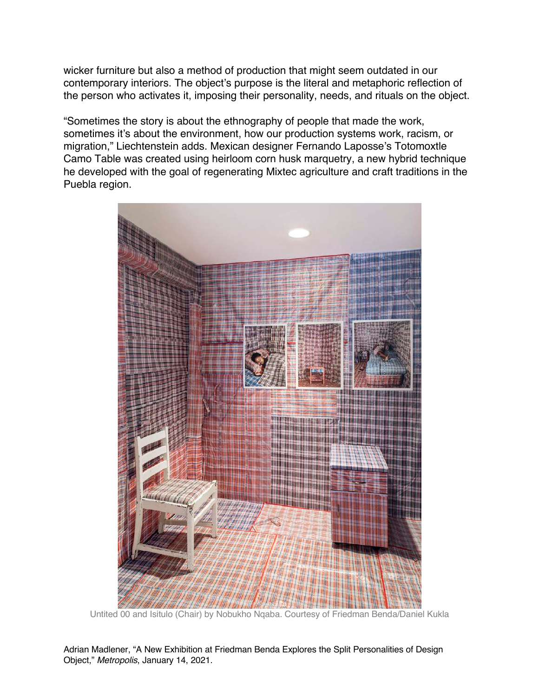wicker furniture but also a method of production that might seem outdated in our contemporary interiors. The object's purpose is the literal and metaphoric reflection of the person who activates it, imposing their personality, needs, and rituals on the object.

"Sometimes the story is about the ethnography of people that made the work, sometimes it's about the environment, how our production systems work, racism, or migration," Liechtenstein adds. Mexican designer Fernando Laposse's Totomoxtle Camo Table was created using heirloom corn husk marquetry, a new hybrid technique he developed with the goal of regenerating Mixtec agriculture and craft traditions in the Puebla region.



Untited 00 and Isitulo (Chair) by Nobukho Nqaba. Courtesy of Friedman Benda/Daniel Kukla